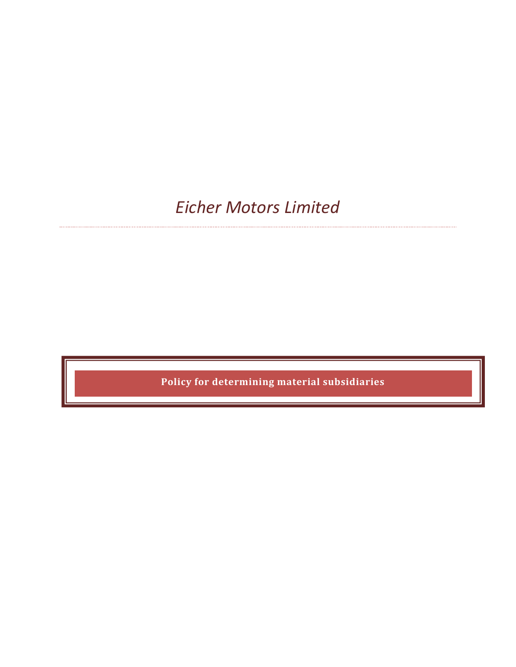*Eicher Motors Limited*

**Policy for determining material subsidiaries**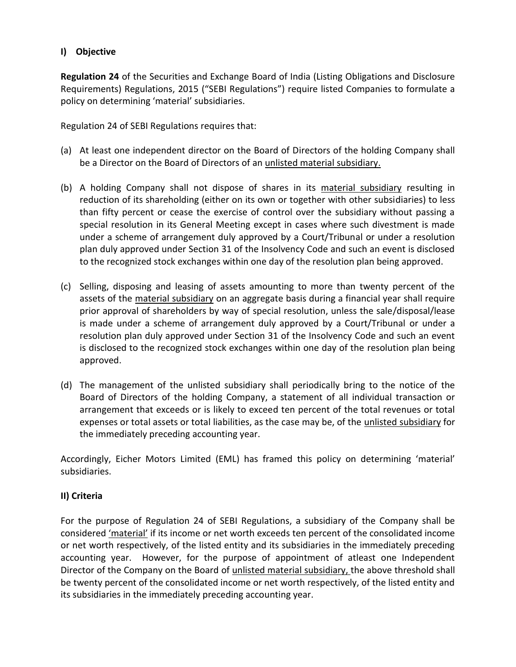## **I) Objective**

**Regulation 24** of the Securities and Exchange Board of India (Listing Obligations and Disclosure Requirements) Regulations, 2015 ("SEBI Regulations") require listed Companies to formulate a policy on determining 'material' subsidiaries.

Regulation 24 of SEBI Regulations requires that:

- (a) At least one independent director on the Board of Directors of the holding Company shall be a Director on the Board of Directors of an unlisted material subsidiary.
- (b) A holding Company shall not dispose of shares in its material subsidiary resulting in reduction of its shareholding (either on its own or together with other subsidiaries) to less than fifty percent or cease the exercise of control over the subsidiary without passing a special resolution in its General Meeting except in cases where such divestment is made under a scheme of arrangement duly approved by a Court/Tribunal or under a resolution plan duly approved under Section 31 of the Insolvency Code and such an event is disclosed to the recognized stock exchanges within one day of the resolution plan being approved.
- (c) Selling, disposing and leasing of assets amounting to more than twenty percent of the assets of the material subsidiary on an aggregate basis during a financial year shall require prior approval of shareholders by way of special resolution, unless the sale/disposal/lease is made under a scheme of arrangement duly approved by a Court/Tribunal or under a resolution plan duly approved under Section 31 of the Insolvency Code and such an event is disclosed to the recognized stock exchanges within one day of the resolution plan being approved.
- (d) The management of the unlisted subsidiary shall periodically bring to the notice of the Board of Directors of the holding Company, a statement of all individual transaction or arrangement that exceeds or is likely to exceed ten percent of the total revenues or total expenses or total assets or total liabilities, as the case may be, of the unlisted subsidiary for the immediately preceding accounting year.

Accordingly, Eicher Motors Limited (EML) has framed this policy on determining 'material' subsidiaries.

## **II) Criteria**

For the purpose of Regulation 24 of SEBI Regulations, a subsidiary of the Company shall be considered 'material' if its income or net worth exceeds ten percent of the consolidated income or net worth respectively, of the listed entity and its subsidiaries in the immediately preceding accounting year. However, for the purpose of appointment of atleast one Independent Director of the Company on the Board of unlisted material subsidiary, the above threshold shall be twenty percent of the consolidated income or net worth respectively, of the listed entity and its subsidiaries in the immediately preceding accounting year.